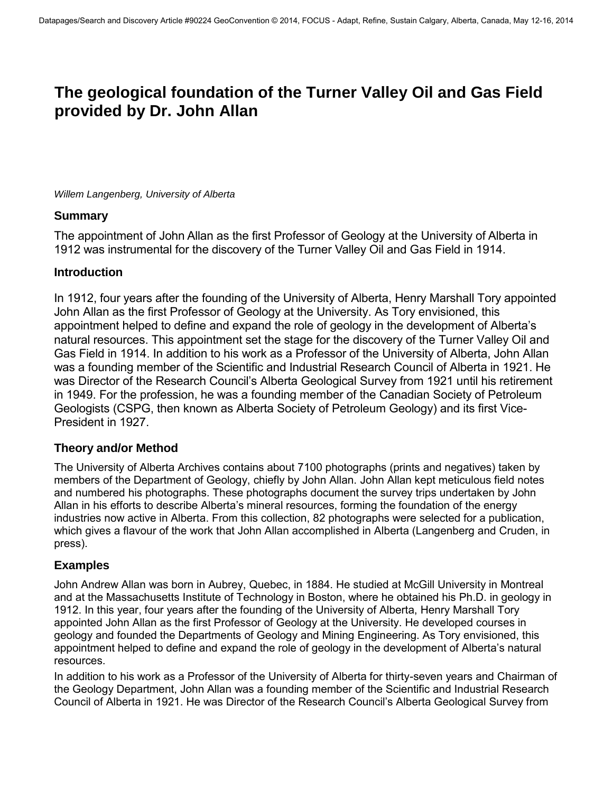# **The geological foundation of the Turner Valley Oil and Gas Field provided by Dr. John Allan**

*Willem Langenberg, University of Alberta* 

#### **Summary**

The appointment of John Allan as the first Professor of Geology at the University of Alberta in 1912 was instrumental for the discovery of the Turner Valley Oil and Gas Field in 1914.

## **Introduction**

In 1912, four years after the founding of the University of Alberta, Henry Marshall Tory appointed John Allan as the first Professor of Geology at the University. As Tory envisioned, this appointment helped to define and expand the role of geology in the development of Alberta's natural resources. This appointment set the stage for the discovery of the Turner Valley Oil and Gas Field in 1914. In addition to his work as a Professor of the University of Alberta, John Allan was a founding member of the Scientific and Industrial Research Council of Alberta in 1921. He was Director of the Research Council's Alberta Geological Survey from 1921 until his retirement in 1949. For the profession, he was a founding member of the Canadian Society of Petroleum Geologists (CSPG, then known as Alberta Society of Petroleum Geology) and its first Vice-President in 1927.

## **Theory and/or Method**

The University of Alberta Archives contains about 7100 photographs (prints and negatives) taken by members of the Department of Geology, chiefly by John Allan. John Allan kept meticulous field notes and numbered his photographs. These photographs document the survey trips undertaken by John Allan in his efforts to describe Alberta's mineral resources, forming the foundation of the energy industries now active in Alberta. From this collection, 82 photographs were selected for a publication, which gives a flavour of the work that John Allan accomplished in Alberta (Langenberg and Cruden, in press).

## **Examples**

John Andrew Allan was born in Aubrey, Quebec, in 1884. He studied at McGill University in Montreal and at the Massachusetts Institute of Technology in Boston, where he obtained his Ph.D. in geology in 1912. In this year, four years after the founding of the University of Alberta, Henry Marshall Tory appointed John Allan as the first Professor of Geology at the University. He developed courses in geology and founded the Departments of Geology and Mining Engineering. As Tory envisioned, this appointment helped to define and expand the role of geology in the development of Alberta's natural resources.

In addition to his work as a Professor of the University of Alberta for thirty-seven years and Chairman of the Geology Department, John Allan was a founding member of the Scientific and Industrial Research Council of Alberta in 1921. He was Director of the Research Council's Alberta Geological Survey from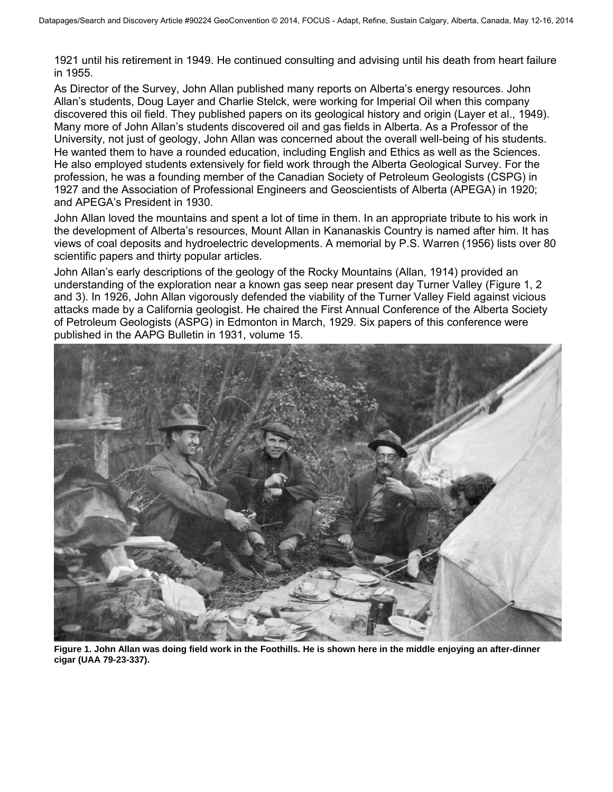1921 until his retirement in 1949. He continued consulting and advising until his death from heart failure in 1955.

As Director of the Survey, John Allan published many reports on Alberta's energy resources. John Allan's students, Doug Layer and Charlie Stelck, were working for Imperial Oil when this company discovered this oil field. They published papers on its geological history and origin (Layer et al., 1949). Many more of John Allan's students discovered oil and gas fields in Alberta. As a Professor of the University, not just of geology, John Allan was concerned about the overall well-being of his students. He wanted them to have a rounded education, including English and Ethics as well as the Sciences. He also employed students extensively for field work through the Alberta Geological Survey. For the profession, he was a founding member of the Canadian Society of Petroleum Geologists (CSPG) in 1927 and the Association of Professional Engineers and Geoscientists of Alberta (APEGA) in 1920; and APEGA's President in 1930.

John Allan loved the mountains and spent a lot of time in them. In an appropriate tribute to his work in the development of Alberta's resources, Mount Allan in Kananaskis Country is named after him. It has views of coal deposits and hydroelectric developments. A memorial by P.S. Warren (1956) lists over 80 scientific papers and thirty popular articles.

John Allan's early descriptions of the geology of the Rocky Mountains (Allan, 1914) provided an understanding of the exploration near a known gas seep near present day Turner Valley (Figure 1, 2 and 3). In 1926, John Allan vigorously defended the viability of the Turner Valley Field against vicious attacks made by a California geologist. He chaired the First Annual Conference of the Alberta Society of Petroleum Geologists (ASPG) in Edmonton in March, 1929. Six papers of this conference were published in the AAPG Bulletin in 1931, volume 15.



**Figure 1. John Allan was doing field work in the Foothills. He is shown here in the middle enjoying an after-dinner cigar (UAA 79-23-337).**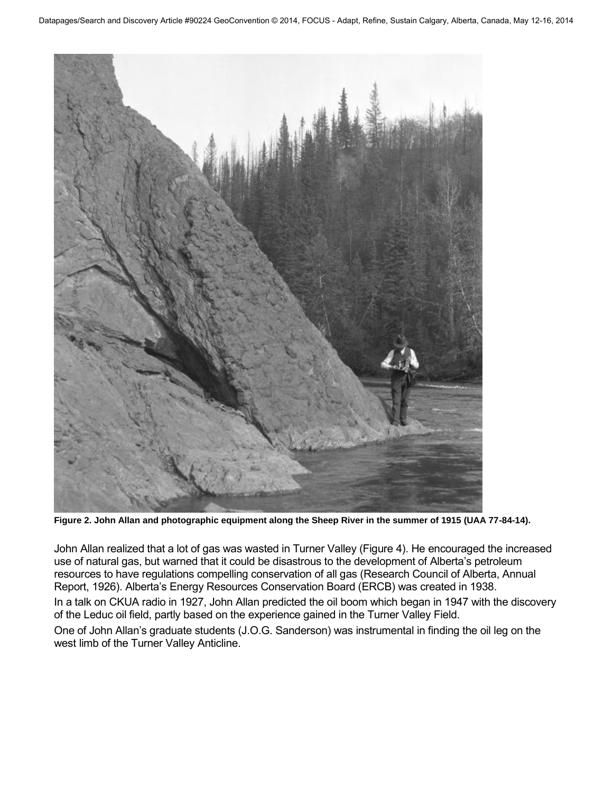

**Figure 2. John Allan and photographic equipment along the Sheep River in the summer of 1915 (UAA 77-84-14).** 

John Allan realized that a lot of gas was wasted in Turner Valley (Figure 4). He encouraged the increased use of natural gas, but warned that it could be disastrous to the development of Alberta's petroleum resources to have regulations compelling conservation of all gas (Research Council of Alberta, Annual Report, 1926). Alberta's Energy Resources Conservation Board (ERCB) was created in 1938.

In a talk on CKUA radio in 1927, John Allan predicted the oil boom which began in 1947 with the discovery of the Leduc oil field, partly based on the experience gained in the Turner Valley Field.

One of John Allan's graduate students (J.O.G. Sanderson) was instrumental in finding the oil leg on the west limb of the Turner Valley Anticline.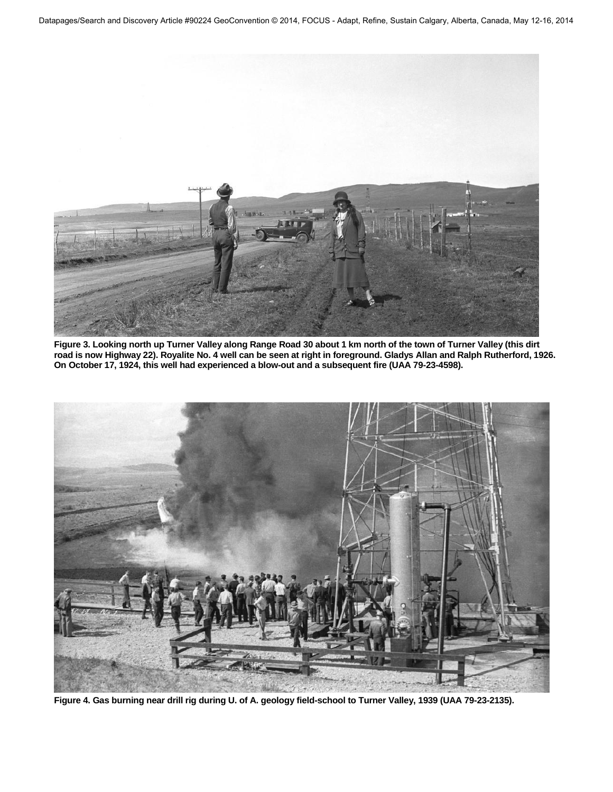

**Figure 3. Looking north up Turner Valley along Range Road 30 about 1 km north of the town of Turner Valley (this dirt road is now Highway 22). Royalite No. 4 well can be seen at right in foreground. Gladys Allan and Ralph Rutherford, 1926. On October 17, 1924, this well had experienced a blow-out and a subsequent fire (UAA 79-23-4598).** 



**Figure 4. Gas burning near drill rig during U. of A. geology field-school to Turner Valley, 1939 (UAA 79-23-2135).**